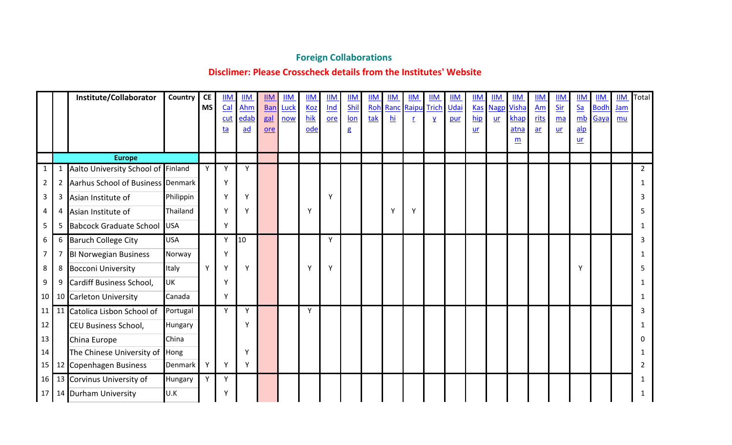## **Foreign Collaborations**

## **Disclimer: Please Crosscheck details from the Institutes' Website**

|                 |                | Institute/Collaborator             | Country    | $\mathsf{CE}% _{\mathcal{A}}\left( \mathcal{A},\mathcal{A}\right)$ | IIIM         | $\mathbf{I}$ M | IIIM       | IIIM | <b>IIM</b> | <b>IIM</b> | <b>IIM</b>  | <b>IIM</b> | <b>IIM</b> | <b>IIM</b> | <b>IIM</b>                  | IIIM | <b>IIM</b> | IIIM           | IIIM | $\mathbf{I} \mathbf{I} \mathbf{M}$ | $\mathbf{I}$ | <b>IIM</b> | <b>IIM</b>  | <b>IIM</b> | Total          |
|-----------------|----------------|------------------------------------|------------|--------------------------------------------------------------------|--------------|----------------|------------|------|------------|------------|-------------|------------|------------|------------|-----------------------------|------|------------|----------------|------|------------------------------------|--------------|------------|-------------|------------|----------------|
|                 |                |                                    |            | <b>MS</b>                                                          | Cal          | Ahm            | <b>Ban</b> | Luck | <b>Koz</b> | Ind        | <b>Shil</b> |            |            |            | <b>Roh Ranc Raipu Trich</b> | Udai |            | Kas Nagp Visha |      | Am                                 | <u>Sir</u>   | $S_{a}$    | <b>Bodh</b> | Jam        |                |
|                 |                |                                    |            |                                                                    | cut          | edab           | gal        | now  | hik        | ore        | lon         | tak        | $hi$       | L          | $\overline{\mathbf{Y}}$     | pur  | hip        | $ur$           | khap | rits                               | ma           | m b        | Gaya        | mu         |                |
|                 |                |                                    |            |                                                                    | ta           | ad             | ore        |      | ode        |            | g           |            |            |            |                             |      | $ur$       |                | atna | ar                                 | $ur$         | alp        |             |            |                |
|                 |                |                                    |            |                                                                    |              |                |            |      |            |            |             |            |            |            |                             |      |            |                | m    |                                    |              | $ur$       |             |            |                |
|                 |                | <b>Europe</b>                      |            |                                                                    |              |                |            |      |            |            |             |            |            |            |                             |      |            |                |      |                                    |              |            |             |            |                |
| 1               | $\mathbf{1}$   | Aalto University School of Finland |            | Y                                                                  | $\checkmark$ | Υ              |            |      |            |            |             |            |            |            |                             |      |            |                |      |                                    |              |            |             |            | $\mathcal{L}$  |
| $\overline{2}$  | $\overline{2}$ | Aarhus School of Business Denmark  |            |                                                                    | Y            |                |            |      |            |            |             |            |            |            |                             |      |            |                |      |                                    |              |            |             |            |                |
| 3               | 3              | Asian Institute of                 | Philippin  |                                                                    | Y            | Υ              |            |      |            | Υ          |             |            |            |            |                             |      |            |                |      |                                    |              |            |             |            |                |
| 4               | 4              | Asian Institute of                 | Thailand   |                                                                    | $\checkmark$ | Y              |            |      | ٧          |            |             |            | ٧          | Y          |                             |      |            |                |      |                                    |              |            |             |            |                |
| 5.              | 5              | <b>Babcock Graduate School</b>     | <b>USA</b> |                                                                    | Y            |                |            |      |            |            |             |            |            |            |                             |      |            |                |      |                                    |              |            |             |            | 1              |
| 6               | 6              | Baruch College City                | <b>USA</b> |                                                                    | Y            | 10             |            |      |            | Y          |             |            |            |            |                             |      |            |                |      |                                    |              |            |             |            |                |
| 7               |                | <b>BI Norwegian Business</b>       | Norway     |                                                                    |              |                |            |      |            |            |             |            |            |            |                             |      |            |                |      |                                    |              |            |             |            |                |
| 8               | 8              | <b>Bocconi University</b>          | Italy      | Y                                                                  | ۷            | Y              |            |      | Υ          | Y          |             |            |            |            |                             |      |            |                |      |                                    |              |            |             |            |                |
| 9               | 9              | Cardiff Business School,           | <b>UK</b>  |                                                                    |              |                |            |      |            |            |             |            |            |            |                             |      |            |                |      |                                    |              |            |             |            |                |
| 10 <sup>1</sup> |                | 10 Carleton University             | Canada     |                                                                    | v            |                |            |      |            |            |             |            |            |            |                             |      |            |                |      |                                    |              |            |             |            | 1              |
| 11              |                | 11 Catolica Lisbon School of       | Portugal   |                                                                    | Y            | Y              |            |      | Y          |            |             |            |            |            |                             |      |            |                |      |                                    |              |            |             |            | 3              |
| 12              |                | <b>CEU Business School,</b>        | Hungary    |                                                                    |              | Y              |            |      |            |            |             |            |            |            |                             |      |            |                |      |                                    |              |            |             |            |                |
| 13              |                | China Europe                       | China      |                                                                    |              |                |            |      |            |            |             |            |            |            |                             |      |            |                |      |                                    |              |            |             |            |                |
| 14              |                | The Chinese University of          | Hong       |                                                                    |              | Y              |            |      |            |            |             |            |            |            |                             |      |            |                |      |                                    |              |            |             |            |                |
| 15              | -12            | Copenhagen Business                | Denmark    | Y                                                                  | v            | Y              |            |      |            |            |             |            |            |            |                             |      |            |                |      |                                    |              |            |             |            | $\overline{2}$ |
| 16              |                | 13 Corvinus University of          | Hungary    | Υ                                                                  | Y            |                |            |      |            |            |             |            |            |            |                             |      |            |                |      |                                    |              |            |             |            | $\mathbf{1}$   |
| $17 \mid$       |                | 14 Durham University               | U.K        |                                                                    |              |                |            |      |            |            |             |            |            |            |                             |      |            |                |      |                                    |              |            |             |            |                |
|                 |                |                                    |            |                                                                    |              |                |            |      |            |            |             |            |            |            |                             |      |            |                |      |                                    |              |            |             |            |                |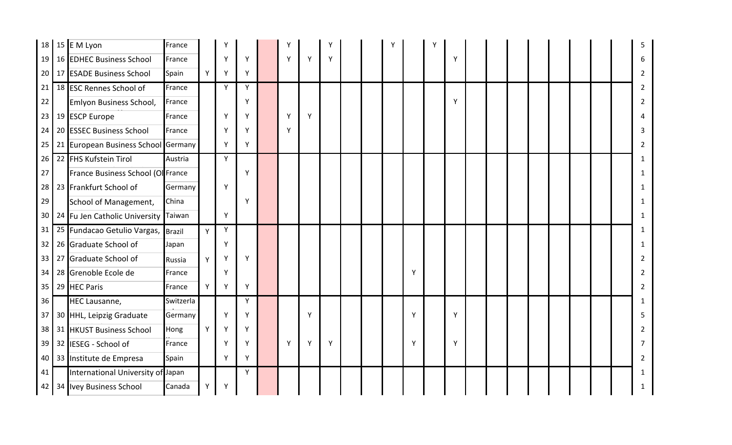|                 | 18 15 E M Lyon                      | France        |          |   |   |   |   |   |  |   |   |  |  |  |  |                |
|-----------------|-------------------------------------|---------------|----------|---|---|---|---|---|--|---|---|--|--|--|--|----------------|
|                 | 19 16 EDHEC Business School         | France        |          | Y | Y | Y | Y | Y |  |   | Υ |  |  |  |  |                |
| 20 <sub>1</sub> | 17 ESADE Business School            | Spain         | Y        | Y | Y |   |   |   |  |   |   |  |  |  |  |                |
| 21              | 18 ESC Rennes School of             | France        |          | Y | Y |   |   |   |  |   |   |  |  |  |  |                |
| 22              | Emlyon Business School,             | France        |          |   | Υ |   |   |   |  |   | ٧ |  |  |  |  |                |
| 23              | 19 ESCP Europe                      | France        |          | Υ | Υ | Y | Y |   |  |   |   |  |  |  |  |                |
| 24              | 20 ESSEC Business School            | France        |          | Υ | Y | Y |   |   |  |   |   |  |  |  |  |                |
| 25              | 21 European Business School Germany |               |          | Y | Y |   |   |   |  |   |   |  |  |  |  | $\overline{2}$ |
| 26              | 22 FHS Kufstein Tirol               | Austria       |          | Y |   |   |   |   |  |   |   |  |  |  |  |                |
| 27              | France Business School (OI France   |               |          |   | Y |   |   |   |  |   |   |  |  |  |  |                |
| 28              | 23 Frankfurt School of              | Germany       |          | Y |   |   |   |   |  |   |   |  |  |  |  |                |
| 29              | School of Management,               | China         |          |   | Y |   |   |   |  |   |   |  |  |  |  |                |
| 30 <sup>1</sup> | 24 Fu Jen Catholic University       | Taiwan        |          | Y |   |   |   |   |  |   |   |  |  |  |  |                |
| 31              | 25 Fundacao Getulio Vargas,         | <b>Brazil</b> | Y        | Y |   |   |   |   |  |   |   |  |  |  |  |                |
| 32              | 26 Graduate School of               | Japan         |          | Υ |   |   |   |   |  |   |   |  |  |  |  |                |
| 33              | 27 Graduate School of               | Russia        | $Y \mid$ | Y | Y |   |   |   |  |   |   |  |  |  |  |                |
| 34              | 28 Grenoble Ecole de                | France        |          | Y |   |   |   |   |  | Y |   |  |  |  |  |                |
| 35              | 29 HEC Paris                        | France        | Y        | Y | Y |   |   |   |  |   |   |  |  |  |  | 2              |
| 36 <sup>1</sup> | HEC Lausanne,                       | Switzerla     |          |   | Y |   |   |   |  |   |   |  |  |  |  |                |
| 37              | 30 HHL, Leipzig Graduate            | Germany       |          | Υ | Y |   | Y |   |  | Y | Y |  |  |  |  | 5              |
|                 | 38 31 HKUST Business School         | Hong          | Y        | Y | Y |   |   |   |  |   |   |  |  |  |  |                |
| 39              | 32 IESEG - School of                | France        |          | Υ | Υ | Υ | Y | Y |  | Y | Υ |  |  |  |  |                |
| 40              | 33 Institute de Empresa             | Spain         |          | Y | Y |   |   |   |  |   |   |  |  |  |  |                |
| 41              | International University of Japan   |               |          |   | Y |   |   |   |  |   |   |  |  |  |  |                |
|                 | 42 34 Ivey Business School          | Canada        | Y        | Y |   |   |   |   |  |   |   |  |  |  |  |                |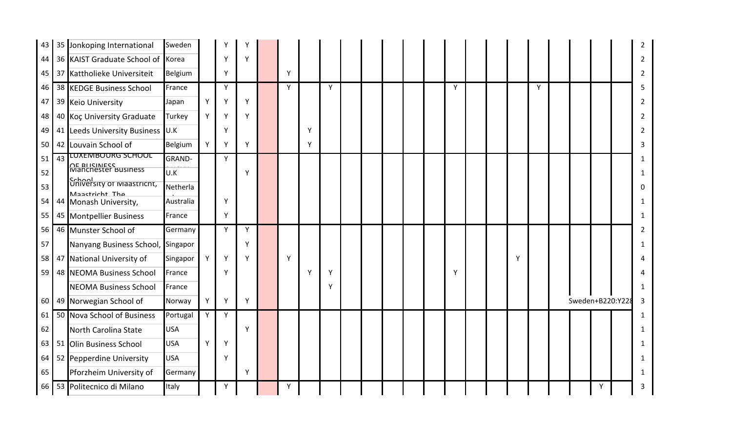|    |    | 43 35 Jonkoping International                           | Sweden        |   |   |   |   |   |   |  |  |   |  |   |    |  |                  |   |
|----|----|---------------------------------------------------------|---------------|---|---|---|---|---|---|--|--|---|--|---|----|--|------------------|---|
| 44 |    | 36 KAIST Graduate School of                             | Korea         |   | Y | Υ |   |   |   |  |  |   |  |   |    |  |                  |   |
| 45 |    | 37 Kattholieke Universiteit                             | Belgium       |   | Y |   | Y |   |   |  |  |   |  |   |    |  |                  |   |
| 46 |    | 38 KEDGE Business School                                | France        |   | Υ |   | Υ |   | Y |  |  | Υ |  |   | Y. |  |                  |   |
| 47 |    | 39 Keio University                                      | Japan         | Y | Υ | Υ |   |   |   |  |  |   |  |   |    |  |                  |   |
| 48 |    | 40 Koç University Graduate                              | Turkey        | Υ | Υ | Υ |   |   |   |  |  |   |  |   |    |  |                  |   |
|    |    | 49 41 Leeds University Business                         | U.K           |   |   |   |   |   |   |  |  |   |  |   |    |  |                  |   |
| 50 |    | 42 Louvain School of                                    | Belgium       | Y | Y | Υ |   | Y |   |  |  |   |  |   |    |  |                  |   |
| 51 | 43 | LUXEIVIBUURG SCHUUL                                     | <b>GRAND-</b> |   | Y |   |   |   |   |  |  |   |  |   |    |  |                  |   |
| 52 |    | OF BUSINESS<br>Manchester Business                      | U.K           |   |   | Y |   |   |   |  |  |   |  |   |    |  |                  |   |
| 53 |    | School<br>University or iviaastricht,<br>Maactricht The | Netherla      |   |   |   |   |   |   |  |  |   |  |   |    |  |                  | n |
| 54 |    | 44 Monash University,                                   | Australia     |   | Y |   |   |   |   |  |  |   |  |   |    |  |                  |   |
| 55 |    | 45 Montpellier Business                                 | France        |   | Y |   |   |   |   |  |  |   |  |   |    |  |                  |   |
| 56 |    | 46 Munster School of                                    | Germany       |   | Y | Y |   |   |   |  |  |   |  |   |    |  |                  |   |
| 57 |    | Nanyang Business School, Singapor                       |               |   |   | Y |   |   |   |  |  |   |  |   |    |  |                  |   |
|    |    | 58 47 National University of                            | Singapor      | Y | Y | Y | Y |   |   |  |  |   |  | Y |    |  |                  |   |
|    |    | 59 48 NEOMA Business School                             | France        |   | Υ |   |   | Υ | Y |  |  |   |  |   |    |  |                  |   |
|    |    | <b>NEOMA Business School</b>                            | France        |   |   |   |   |   | Υ |  |  |   |  |   |    |  |                  |   |
|    |    | 60 49 Norwegian School of                               | Norway        | Y | Υ | Y |   |   |   |  |  |   |  |   |    |  | Sweden+B220:Y228 | 3 |
| 61 |    | 50 Nova School of Business                              | Portugal      | Y | Y |   |   |   |   |  |  |   |  |   |    |  |                  |   |
| 62 |    | North Carolina State                                    | <b>USA</b>    |   |   | Υ |   |   |   |  |  |   |  |   |    |  |                  |   |
|    |    | 63 51 Olin Business School                              | <b>USA</b>    | Y | Y |   |   |   |   |  |  |   |  |   |    |  |                  |   |
| 64 |    | 52 Pepperdine University                                | <b>USA</b>    |   |   |   |   |   |   |  |  |   |  |   |    |  |                  |   |
| 65 |    | Pforzheim University of                                 | Germany       |   |   | Y |   |   |   |  |  |   |  |   |    |  |                  |   |
|    |    | 66 53 Politecnico di Milano                             | Italy         |   | Y |   | Y |   |   |  |  |   |  |   |    |  | ٧                |   |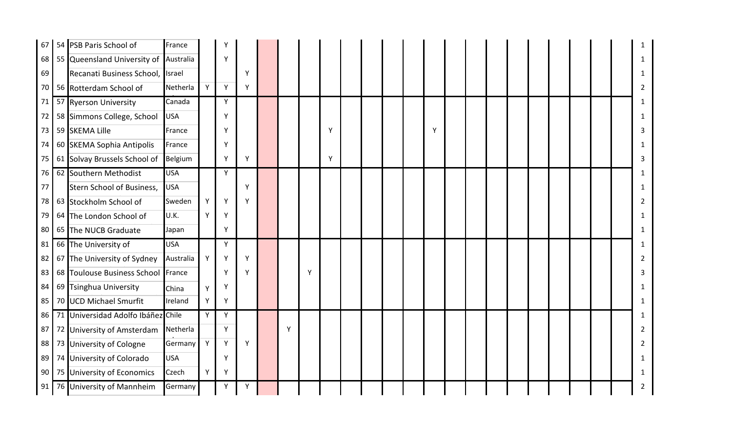|    | 67 54 PSB Paris School of             | France         |   |   |   |   |   |   |  |  |   |  |  |  |  |                |
|----|---------------------------------------|----------------|---|---|---|---|---|---|--|--|---|--|--|--|--|----------------|
|    | 68 55 Queensland University of        | Australia      |   | Y |   |   |   |   |  |  |   |  |  |  |  |                |
| 69 | Recanati Business School, Israel      |                |   |   | Υ |   |   |   |  |  |   |  |  |  |  |                |
|    | 70 56 Rotterdam School of             | Netherla       | Y | Y | Υ |   |   |   |  |  |   |  |  |  |  | $\overline{2}$ |
|    | 71 57 Ryerson University              | Canada         |   | Y |   |   |   |   |  |  |   |  |  |  |  | 1              |
| 72 | 58 Simmons College, School            | <b>USA</b>     |   |   |   |   |   |   |  |  |   |  |  |  |  |                |
|    | 73 59 SKEMA Lille                     | France         |   |   |   |   |   |   |  |  | Y |  |  |  |  | 3              |
| 74 | 60 SKEMA Sophia Antipolis             | France         |   |   |   |   |   |   |  |  |   |  |  |  |  |                |
| 75 | 61 Solvay Brussels School of          | <b>Belgium</b> |   | Y | Y |   |   | Y |  |  |   |  |  |  |  | 3              |
|    | 76 62 Southern Methodist              | <b>USA</b>     |   | Y |   |   |   |   |  |  |   |  |  |  |  | 1              |
| 77 | Stern School of Business,             | <b>USA</b>     |   |   | Y |   |   |   |  |  |   |  |  |  |  | 1              |
|    | 78 63 Stockholm School of             | Sweden         | Y | Y | Y |   |   |   |  |  |   |  |  |  |  | $\overline{2}$ |
|    | 79 64 The London School of            | U.K.           | Y | Y |   |   |   |   |  |  |   |  |  |  |  |                |
| 80 | 65 The NUCB Graduate                  | Japan          |   | Y |   |   |   |   |  |  |   |  |  |  |  | 1              |
| 81 | 66 The University of                  | <b>USA</b>     |   | Y |   |   |   |   |  |  |   |  |  |  |  | 1              |
| 82 | 67 The University of Sydney           | Australia      | Y | Y | Y |   |   |   |  |  |   |  |  |  |  | $\overline{2}$ |
| 83 | 68 Toulouse Business School France    |                |   | Y | Υ |   | Y |   |  |  |   |  |  |  |  |                |
| 84 | 69 Tsinghua University                | China          | Y | Y |   |   |   |   |  |  |   |  |  |  |  |                |
| 85 | 70 UCD Michael Smurfit                | Ireland        | Y | Υ |   |   |   |   |  |  |   |  |  |  |  | 1              |
|    | 86 71 Universidad Adolfo Ibañez Chile |                | Y | Y |   |   |   |   |  |  |   |  |  |  |  | 1              |
|    | 87 72 University of Amsterdam         | Netherla       |   | Y |   | Υ |   |   |  |  |   |  |  |  |  | $\overline{2}$ |
|    | 88 73 University of Cologne           | Germany        | Y | Y | Υ |   |   |   |  |  |   |  |  |  |  | $\overline{2}$ |
|    | 89 74 University of Colorado          | <b>USA</b>     |   | Y |   |   |   |   |  |  |   |  |  |  |  | 1              |
|    | 90 75 University of Economics         | Czech          | Y | Υ |   |   |   |   |  |  |   |  |  |  |  | 1              |
|    | 91 76 University of Mannheim          | Germany        |   | Υ | Υ |   |   |   |  |  |   |  |  |  |  | $\overline{2}$ |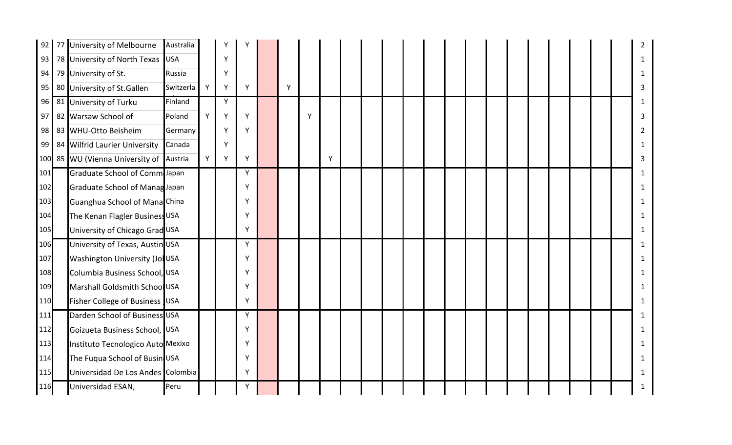|                 | 92 77 University of Melbourne     | Australia  |    |   |   |   |   |   |  |  |  |  |  |  |  |  |
|-----------------|-----------------------------------|------------|----|---|---|---|---|---|--|--|--|--|--|--|--|--|
| 93              | 78 University of North Texas      | <b>USA</b> |    | Υ |   |   |   |   |  |  |  |  |  |  |  |  |
| 94              | 79 University of St.              | Russia     |    |   |   |   |   |   |  |  |  |  |  |  |  |  |
| 95              | 80 University of St.Gallen        | Switzerla  | Y. | Υ | Υ | Υ |   |   |  |  |  |  |  |  |  |  |
|                 | 96 81 University of Turku         | Finland    |    | Υ |   |   |   |   |  |  |  |  |  |  |  |  |
| 97              | 82 Warsaw School of               | Poland     | Y  | Υ | Υ |   | Y |   |  |  |  |  |  |  |  |  |
| 98              | 83 WHU-Otto Beisheim              | Germany    |    | Y |   |   |   |   |  |  |  |  |  |  |  |  |
| 99 <sub>1</sub> | 84 Wilfrid Laurier University     | Canada     |    |   |   |   |   |   |  |  |  |  |  |  |  |  |
|                 | 100 85 WU (Vienna University of   | Austria    | Y  | Υ | Y |   |   | Y |  |  |  |  |  |  |  |  |
| 101             | Graduate School of Comm Japan     |            |    |   | Υ |   |   |   |  |  |  |  |  |  |  |  |
| 102             | Graduate School of ManagJapan     |            |    |   | Υ |   |   |   |  |  |  |  |  |  |  |  |
| 103             | Guanghua School of Mana China     |            |    |   |   |   |   |   |  |  |  |  |  |  |  |  |
| 104             | The Kenan Flagler Business USA    |            |    |   | ٧ |   |   |   |  |  |  |  |  |  |  |  |
| 105             | University of Chicago Grad USA    |            |    |   | Y |   |   |   |  |  |  |  |  |  |  |  |
| 106             | University of Texas, Austin USA   |            |    |   | Y |   |   |   |  |  |  |  |  |  |  |  |
| 107             | Washington University (Jol USA    |            |    |   | Y |   |   |   |  |  |  |  |  |  |  |  |
| 108             | Columbia Business School, USA     |            |    |   |   |   |   |   |  |  |  |  |  |  |  |  |
| 109             | Marshall Goldsmith School USA     |            |    |   | Y |   |   |   |  |  |  |  |  |  |  |  |
| 110             | Fisher College of Business USA    |            |    |   | Y |   |   |   |  |  |  |  |  |  |  |  |
| 111             | Darden School of Business USA     |            |    |   | Y |   |   |   |  |  |  |  |  |  |  |  |
| 112             | Goizueta Business School, USA     |            |    |   |   |   |   |   |  |  |  |  |  |  |  |  |
| 113             | Instituto Tecnologico Auto Mexixo |            |    |   |   |   |   |   |  |  |  |  |  |  |  |  |
| 114             | The Fuqua School of Busin USA     |            |    |   |   |   |   |   |  |  |  |  |  |  |  |  |
| 115             | Universidad De Los Andes Colombia |            |    |   | Υ |   |   |   |  |  |  |  |  |  |  |  |
| 116             | Universidad ESAN,                 | Peru       |    |   | Υ |   |   |   |  |  |  |  |  |  |  |  |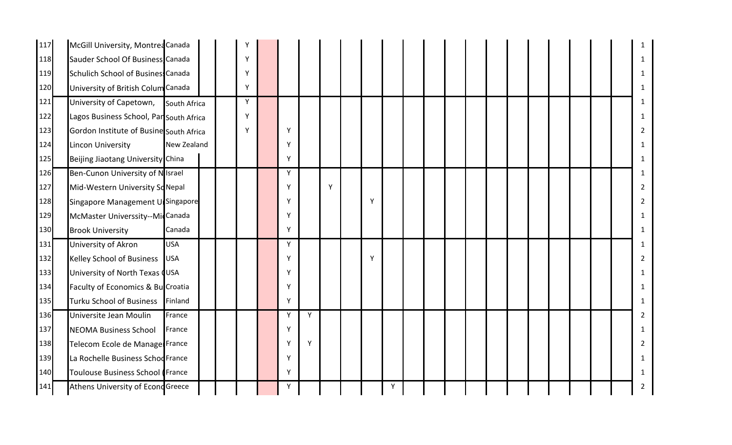| 117 | McGill University, Montrea Canada       |              |   |  |   |   |   |   |   |  |  |  |  |  |  |
|-----|-----------------------------------------|--------------|---|--|---|---|---|---|---|--|--|--|--|--|--|
| 118 | Sauder School Of Business Canada        |              | Y |  |   |   |   |   |   |  |  |  |  |  |  |
| 119 | Schulich School of Busines: Canada      |              | Υ |  |   |   |   |   |   |  |  |  |  |  |  |
| 120 | University of British Colum Canada      |              | Y |  |   |   |   |   |   |  |  |  |  |  |  |
| 121 | University of Capetown,                 | South Africa | Y |  |   |   |   |   |   |  |  |  |  |  |  |
| 122 | Lagos Business School, Par South Africa |              | Y |  |   |   |   |   |   |  |  |  |  |  |  |
| 123 | Gordon Institute of Busine South Africa |              | Y |  | Y |   |   |   |   |  |  |  |  |  |  |
| 124 | <b>Lincon University</b>                | New Zealand  |   |  |   |   |   |   |   |  |  |  |  |  |  |
| 125 | Beijing Jiaotang University China       |              |   |  | Υ |   |   |   |   |  |  |  |  |  |  |
| 126 | Ben-Cunon University of N Israel        |              |   |  | Y |   |   |   |   |  |  |  |  |  |  |
| 127 | Mid-Western University So Nepal         |              |   |  | v |   | Y |   |   |  |  |  |  |  |  |
| 128 | Singapore Management U Singapore        |              |   |  |   |   |   | Y |   |  |  |  |  |  |  |
| 129 | McMaster Universsity--MicCanada         |              |   |  |   |   |   |   |   |  |  |  |  |  |  |
| 130 | <b>Brook University</b>                 | Canada       |   |  | Y |   |   |   |   |  |  |  |  |  |  |
| 131 | University of Akron                     | <b>USA</b>   |   |  | Υ |   |   |   |   |  |  |  |  |  |  |
| 132 | <b>Kelley School of Business</b>        | <b>USA</b>   |   |  | v |   |   | Y |   |  |  |  |  |  |  |
| 133 | University of North Texas (USA          |              |   |  |   |   |   |   |   |  |  |  |  |  |  |
| 134 | Faculty of Economics & Bu Croatia       |              |   |  | v |   |   |   |   |  |  |  |  |  |  |
| 135 | <b>Turku School of Business</b>         | Finland      |   |  | Υ |   |   |   |   |  |  |  |  |  |  |
| 136 | Universite Jean Moulin                  | France       |   |  | Υ | Y |   |   |   |  |  |  |  |  |  |
| 137 | <b>NEOMA Business School</b>            | France       |   |  | Υ |   |   |   |   |  |  |  |  |  |  |
| 138 | Telecom Ecole de Manage France          |              |   |  |   | Y |   |   |   |  |  |  |  |  |  |
| 139 | La Rochelle Business Schod France       |              |   |  |   |   |   |   |   |  |  |  |  |  |  |
| 140 | Toulouse Business School (France        |              |   |  | Υ |   |   |   |   |  |  |  |  |  |  |
| 141 | Athens University of Econd Greece       |              |   |  | Υ |   |   |   | Y |  |  |  |  |  |  |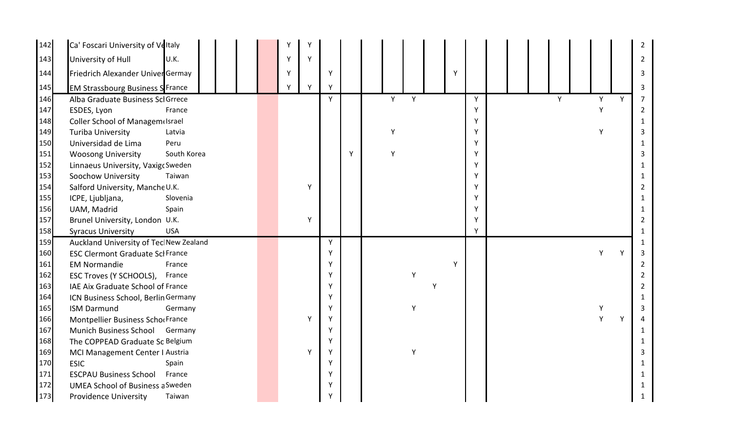| 142 | Ca' Foscari University of Veltaly        |  |              |   |   |   |   |   |   |   |   |  |   |   |   | 2              |
|-----|------------------------------------------|--|--------------|---|---|---|---|---|---|---|---|--|---|---|---|----------------|
| 143 | U.K.<br>University of Hull               |  | Υ            | Y |   |   |   |   |   |   |   |  |   |   |   | $\overline{2}$ |
| 144 | Friedrich Alexander Univer Germay        |  | Υ            |   | Υ |   |   |   |   | Υ |   |  |   |   |   | 3              |
| 145 | <b>EM Strassbourg Business S</b> France  |  | $\checkmark$ | Y | Y |   |   |   |   |   |   |  |   |   |   | 3              |
| 146 | Alba Graduate Business Scl Grrece        |  |              |   | Y |   | Y | Y |   |   | Υ |  | Y | Y | Υ | $\overline{7}$ |
| 147 | ESDES, Lyon<br>France                    |  |              |   |   |   |   |   |   |   | Υ |  |   | Y |   | $\overline{2}$ |
| 148 | Coller School of Managem Israel          |  |              |   |   |   |   |   |   |   | Y |  |   |   |   | 1              |
| 149 | Turiba University<br>Latvia              |  |              |   |   |   |   |   |   |   | Y |  |   | γ |   | 3              |
| 150 | Universidad de Lima<br>Peru              |  |              |   |   |   |   |   |   |   | Y |  |   |   |   | 1              |
| 151 | South Korea<br><b>Woosong University</b> |  |              |   |   | Υ |   |   |   |   | Y |  |   |   |   | 3              |
| 152 | Linnaeus University, Vaxigo Sweden       |  |              |   |   |   |   |   |   |   | Y |  |   |   |   |                |
| 153 | Soochow University<br>Taiwan             |  |              |   |   |   |   |   |   |   | Y |  |   |   |   |                |
| 154 | Salford University, Manche U.K.          |  |              | Y |   |   |   |   |   |   | Y |  |   |   |   | 2              |
| 155 | ICPE, Ljubljana,<br>Slovenia             |  |              |   |   |   |   |   |   |   | Y |  |   |   |   |                |
| 156 | Spain<br>UAM, Madrid                     |  |              |   |   |   |   |   |   |   | Y |  |   |   |   |                |
| 157 | Brunel University, London U.K.           |  |              | Y |   |   |   |   |   |   | Y |  |   |   |   | $\mathfrak z$  |
| 158 | <b>USA</b><br><b>Syracus University</b>  |  |              |   |   |   |   |   |   |   | Y |  |   |   |   |                |
| 159 | Auckland University of Tec New Zealand   |  |              |   | Y |   |   |   |   |   |   |  |   |   |   | 1              |
| 160 | <b>ESC Clermont Graduate Scl France</b>  |  |              |   | Y |   |   |   |   |   |   |  |   | Υ | Y | 3              |
| 161 | <b>EM Normandie</b><br>France            |  |              |   | Y |   |   |   |   | Y |   |  |   |   |   | $\overline{2}$ |
| 162 | ESC Troves (Y SCHOOLS),<br>France        |  |              |   | N |   |   | Y |   |   |   |  |   |   |   | $\mathfrak{p}$ |
| 163 | IAE Aix Graduate School of France        |  |              |   | Υ |   |   |   | Υ |   |   |  |   |   |   |                |
| 164 | ICN Business School, Berlin Germany      |  |              |   |   |   |   |   |   |   |   |  |   |   |   |                |
| 165 | <b>ISM Darmund</b><br>Germany            |  |              |   | Υ |   |   |   |   |   |   |  |   | Y |   | 3              |
| 166 | Montpellier Business Schor France        |  |              | Y |   |   |   |   |   |   |   |  |   | Y |   |                |
| 167 | <b>Munich Business School</b><br>Germany |  |              |   | Υ |   |   |   |   |   |   |  |   |   |   |                |
| 168 | The COPPEAD Graduate Sc Belgium          |  |              |   |   |   |   |   |   |   |   |  |   |   |   |                |
| 169 | MCI Management Center I Austria          |  |              | Y | Y |   |   | γ |   |   |   |  |   |   |   | 3              |
| 170 | <b>ESIC</b><br>Spain                     |  |              |   |   |   |   |   |   |   |   |  |   |   |   |                |
| 171 | <b>ESCPAU Business School</b><br>France  |  |              |   | Y |   |   |   |   |   |   |  |   |   |   | 1              |
| 172 | <b>UMEA School of Business a Sweden</b>  |  |              |   |   |   |   |   |   |   |   |  |   |   |   | 1              |
| 173 | <b>Providence University</b><br>Taiwan   |  |              |   |   |   |   |   |   |   |   |  |   |   |   |                |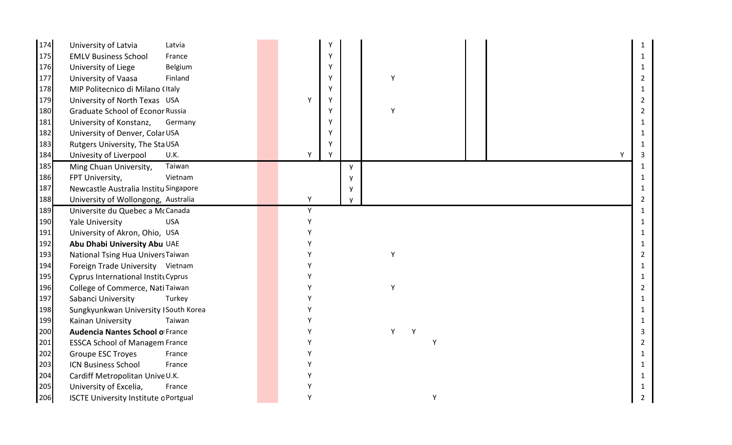| 174 | University of Latvia<br>Latvia              |              |                |
|-----|---------------------------------------------|--------------|----------------|
| 175 | <b>EMLV Business School</b><br>France       | Υ            | 1              |
| 176 | Belgium<br>University of Liege              | Υ            | 1              |
| 177 | University of Vaasa<br>Finland              | Υ<br>Υ       | 2              |
| 178 | MIP Politecnico di Milano (Italy            |              | 1              |
| 179 | University of North Texas USA               | Y<br>Υ       | $\overline{2}$ |
| 180 | Graduate School of Econor Russia            | Y            | $\overline{2}$ |
| 181 | University of Konstanz,<br>Germany          |              | 1              |
| 182 | University of Denver, Colar USA             |              | 1              |
| 183 | Rutgers University, The StaUSA              | Υ            | 1              |
| 184 | Univesity of Liverpool<br>U.K.              | Υ            | 3              |
| 185 | Ming Chuan University,<br>Taiwan            | у            | 1              |
| 186 | FPT University,<br>Vietnam                  | y            | 1              |
| 187 | Newcastle Australia Institu Singapore       | y            | 1              |
| 188 | University of Wollongong, Australia         | $\mathsf{v}$ | 2              |
| 189 | Universite du Quebec a McCanada             |              | 1              |
| 190 | <b>Yale University</b><br><b>USA</b>        |              | 1              |
| 191 | University of Akron, Ohio, USA              |              | 1              |
| 192 | Abu Dhabi University Abu UAE                |              | 1              |
| 193 | National Tsing Hua Univers Taiwan           | Y            | 2              |
| 194 | Foreign Trade University Vietnam            |              | 1              |
| 195 | Cyprus International Institu Cyprus         |              | 1              |
| 196 | College of Commerce, Nati Taiwan            | Y            | $\overline{2}$ |
| 197 | Sabanci University<br>Turkey                |              | 1              |
| 198 | Sungkyunkwan University I South Korea       |              | 1              |
| 199 | Kainan University<br>Taiwan                 |              | $\mathbf{1}$   |
| 200 | <b>Audencia Nantes School o France</b>      | Y            | 3              |
| 201 | <b>ESSCA School of Managem France</b>       |              | 2              |
| 202 | Groupe ESC Troyes<br>France                 |              | 1              |
| 203 | <b>ICN Business School</b><br>France        |              | $\mathbf{1}$   |
| 204 | Cardiff Metropolitan Unive U.K.             |              | 1              |
| 205 | University of Excelia,<br>France            |              | 1              |
| 206 | <b>ISCTE University Institute oPortgual</b> |              | $\overline{2}$ |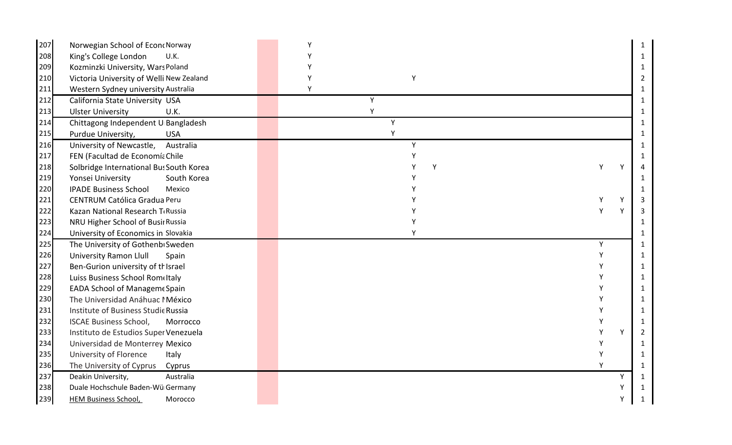| 207 | Norwegian School of Econ Norway           |   |              |
|-----|-------------------------------------------|---|--------------|
| 208 | King's College London<br>U.K.             |   | 1            |
| 209 | Kozminzki University, Wars Poland         |   |              |
| 210 | Victoria University of Welli New Zealand  | Υ | 2            |
| 211 | Western Sydney university Australia       |   |              |
| 212 | California State University USA           | Υ |              |
| 213 | <b>Ulster University</b><br>U.K.          | Y |              |
| 214 | Chittagong Independent U Bangladesh       | Y | $\mathbf{1}$ |
| 215 | Purdue University,<br><b>USA</b>          | Y | 1            |
| 216 | University of Newcastle,<br>Australia     | Y | 1            |
| 217 | FEN (Facultad de Economía Chile           |   | 1            |
| 218 | Solbridge International Bus South Korea   | Y | Y<br>Y       |
| 219 | Yonsei University<br>South Korea          |   |              |
| 220 | Mexico<br><b>IPADE Business School</b>    |   |              |
| 221 | <b>CENTRUM Católica Gradua Peru</b>       |   | Υ<br>3       |
| 222 | Kazan National Research Tr Russia         |   | Υ<br>3       |
| 223 | NRU Higher School of Busir Russia         |   |              |
| 224 | University of Economics in Slovakia       |   |              |
| 225 | The University of Gothenb Sweden          |   | Υ<br>1       |
| 226 | <b>University Ramon Llull</b><br>Spain    |   | 1            |
| 227 | Ben-Gurion university of th Israel        |   | $\mathbf{1}$ |
| 228 | Luiss Business School RomeItaly           |   |              |
| 229 | EADA School of Managem & Spain            |   |              |
| 230 | The Universidad Anáhuac I México          |   |              |
| 231 | Institute of Business Studic Russia       |   | 1            |
| 232 | <b>ISCAE Business School,</b><br>Morrocco |   |              |
| 233 | Instituto de Estudios Super Venezuela     |   | 2            |
| 234 | Universidad de Monterrey Mexico           |   |              |
| 235 | University of Florence<br>Italy           |   | 1            |
| 236 | The University of Cyprus<br>Cyprus        |   |              |
| 237 | Deakin University,<br>Australia           |   |              |
| 238 | Duale Hochschule Baden-Wü Germany         |   |              |
| 239 | <b>HEM Business School,</b><br>Morocco    |   |              |